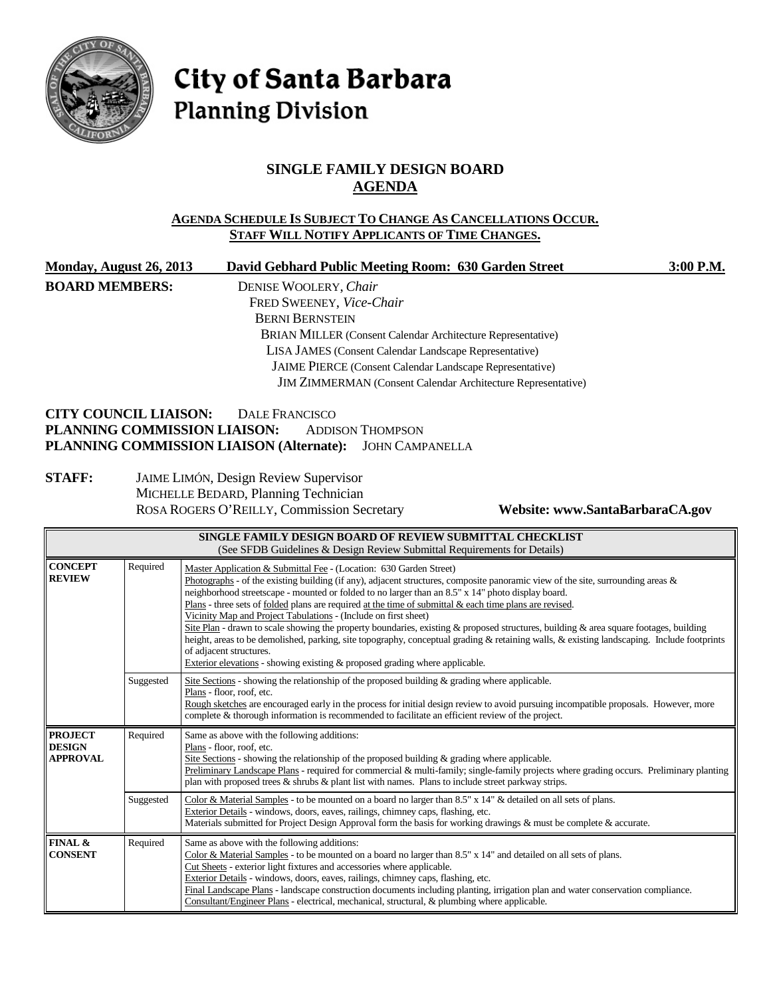

# City of Santa Barbara **Planning Division**

# **SINGLE FAMILY DESIGN BOARD AGENDA**

#### **AGENDA SCHEDULE IS SUBJECT TO CHANGE AS CANCELLATIONS OCCUR. STAFF WILL NOTIFY APPLICANTS OF TIME CHANGES.**

| Monday, August 26, 2013      | David Gebhard Public Meeting Room: 630 Garden Street                | 3:00 P.M. |
|------------------------------|---------------------------------------------------------------------|-----------|
| <b>BOARD MEMBERS:</b>        | DENISE WOOLERY, Chair                                               |           |
|                              | FRED SWEENEY, Vice-Chair                                            |           |
|                              | <b>BERNI BERNSTEIN</b>                                              |           |
|                              | <b>BRIAN MILLER</b> (Consent Calendar Architecture Representative)  |           |
|                              | LISA JAMES (Consent Calendar Landscape Representative)              |           |
|                              | <b>JAIME PIERCE</b> (Consent Calendar Landscape Representative)     |           |
|                              | <b>JIM ZIMMERMAN</b> (Consent Calendar Architecture Representative) |           |
| <b>CITY COUNCIL LIAISON:</b> | <b>DALE FRANCISCO</b>                                               |           |
| PLANNING COMMISSION LIAISON· | <b>ADDISON THOMPSON</b>                                             |           |

# **PLANNING COMMISSION LIAISON:** ADDISON THOMPSON **PLANNING COMMISSION LIAISON (Alternate):** JOHN CAMPANELLA

#### **STAFF:** JAIME LIMÓN, Design Review Supervisor MICHELLE BEDARD, Planning Technician ROSA ROGERS O'REILLY, Commission Secretary **Website: www.SantaBarbaraCA.gov**

| SINGLE FAMILY DESIGN BOARD OF REVIEW SUBMITTAL CHECKLIST<br>(See SFDB Guidelines & Design Review Submittal Requirements for Details) |           |                                                                                                                                                                                                                                                                                                                                                                                                                                                                                                                                                                                                                                                                                                                                                                                                                                                                                                        |  |
|--------------------------------------------------------------------------------------------------------------------------------------|-----------|--------------------------------------------------------------------------------------------------------------------------------------------------------------------------------------------------------------------------------------------------------------------------------------------------------------------------------------------------------------------------------------------------------------------------------------------------------------------------------------------------------------------------------------------------------------------------------------------------------------------------------------------------------------------------------------------------------------------------------------------------------------------------------------------------------------------------------------------------------------------------------------------------------|--|
| <b>CONCEPT</b><br><b>REVIEW</b>                                                                                                      | Required  | Master Application & Submittal Fee - (Location: 630 Garden Street)<br>Photographs - of the existing building (if any), adjacent structures, composite panoramic view of the site, surrounding areas $\&$<br>neighborhood streetscape - mounted or folded to no larger than an 8.5" x 14" photo display board.<br>Plans - three sets of <u>folded</u> plans are required at the time of submittal $\&$ each time plans are revised.<br>Vicinity Map and Project Tabulations - (Include on first sheet)<br>Site Plan - drawn to scale showing the property boundaries, existing & proposed structures, building & area square footages, building<br>height, areas to be demolished, parking, site topography, conceptual grading & retaining walls, & existing landscaping. Include footprints<br>of adjacent structures.<br>Exterior elevations - showing existing & proposed grading where applicable. |  |
|                                                                                                                                      | Suggested | Site Sections - showing the relationship of the proposed building $\&$ grading where applicable.<br>Plans - floor, roof, etc.<br>Rough sketches are encouraged early in the process for initial design review to avoid pursuing incompatible proposals. However, more<br>complete & thorough information is recommended to facilitate an efficient review of the project.                                                                                                                                                                                                                                                                                                                                                                                                                                                                                                                              |  |
| <b>PROJECT</b><br><b>DESIGN</b><br><b>APPROVAL</b>                                                                                   | Required  | Same as above with the following additions:<br>Plans - floor, roof, etc.<br>Site Sections - showing the relationship of the proposed building $\&$ grading where applicable.<br>Preliminary Landscape Plans - required for commercial & multi-family; single-family projects where grading occurs. Preliminary planting<br>plan with proposed trees $\&$ shrubs $\&$ plant list with names. Plans to include street parkway strips.                                                                                                                                                                                                                                                                                                                                                                                                                                                                    |  |
|                                                                                                                                      | Suggested | Color & Material Samples - to be mounted on a board no larger than 8.5" x 14" & detailed on all sets of plans.<br>Exterior Details - windows, doors, eaves, railings, chimney caps, flashing, etc.<br>Materials submitted for Project Design Approval form the basis for working drawings & must be complete & accurate.                                                                                                                                                                                                                                                                                                                                                                                                                                                                                                                                                                               |  |
| FINAL &<br><b>CONSENT</b>                                                                                                            | Required  | Same as above with the following additions:<br>Color & Material Samples - to be mounted on a board no larger than 8.5" x 14" and detailed on all sets of plans.<br>Cut Sheets - exterior light fixtures and accessories where applicable.<br>Exterior Details - windows, doors, eaves, railings, chimney caps, flashing, etc.<br>Final Landscape Plans - landscape construction documents including planting, irrigation plan and water conservation compliance.<br>Consultant/Engineer Plans - electrical, mechanical, structural, & plumbing where applicable.                                                                                                                                                                                                                                                                                                                                       |  |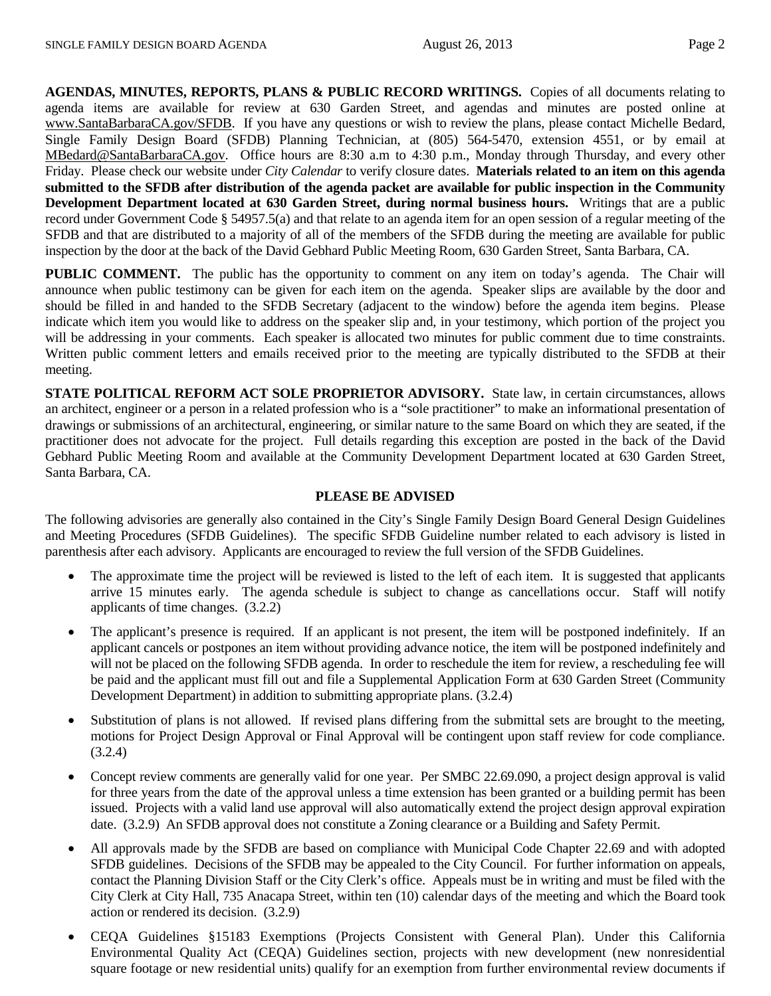**AGENDAS, MINUTES, REPORTS, PLANS & PUBLIC RECORD WRITINGS.** Copies of all documents relating to agenda items are available for review at 630 Garden Street, and agendas and minutes are posted online at [www.SantaBarbaraCA.gov/SFDB.](http://www.santabarbaraca.gov/ABR) If you have any questions or wish to review the plans, please contact Michelle Bedard, Single Family Design Board (SFDB) Planning Technician, at (805) 564-5470, extension 4551, or by email at [MBedard@SantaBarbaraCA.gov.](mailto:MBedard@SantaBarbaraCA.gov) Office hours are 8:30 a.m to 4:30 p.m., Monday through Thursday, and every other Friday. Please check our website under *City Calendar* to verify closure dates. **Materials related to an item on this agenda submitted to the SFDB after distribution of the agenda packet are available for public inspection in the Community Development Department located at 630 Garden Street, during normal business hours.** Writings that are a public record under Government Code § 54957.5(a) and that relate to an agenda item for an open session of a regular meeting of the SFDB and that are distributed to a majority of all of the members of the SFDB during the meeting are available for public inspection by the door at the back of the David Gebhard Public Meeting Room, 630 Garden Street, Santa Barbara, CA.

**PUBLIC COMMENT.** The public has the opportunity to comment on any item on today's agenda. The Chair will announce when public testimony can be given for each item on the agenda. Speaker slips are available by the door and should be filled in and handed to the SFDB Secretary (adjacent to the window) before the agenda item begins. Please indicate which item you would like to address on the speaker slip and, in your testimony, which portion of the project you will be addressing in your comments. Each speaker is allocated two minutes for public comment due to time constraints. Written public comment letters and emails received prior to the meeting are typically distributed to the SFDB at their meeting.

**STATE POLITICAL REFORM ACT SOLE PROPRIETOR ADVISORY.** State law, in certain circumstances, allows an architect, engineer or a person in a related profession who is a "sole practitioner" to make an informational presentation of drawings or submissions of an architectural, engineering, or similar nature to the same Board on which they are seated, if the practitioner does not advocate for the project. Full details regarding this exception are posted in the back of the David Gebhard Public Meeting Room and available at the Community Development Department located at 630 Garden Street, Santa Barbara, CA.

#### **PLEASE BE ADVISED**

The following advisories are generally also contained in the City's Single Family Design Board General Design Guidelines and Meeting Procedures (SFDB Guidelines). The specific SFDB Guideline number related to each advisory is listed in parenthesis after each advisory. Applicants are encouraged to review the full version of the SFDB Guidelines.

- The approximate time the project will be reviewed is listed to the left of each item. It is suggested that applicants arrive 15 minutes early. The agenda schedule is subject to change as cancellations occur. Staff will notify applicants of time changes. (3.2.2)
- The applicant's presence is required. If an applicant is not present, the item will be postponed indefinitely. If an applicant cancels or postpones an item without providing advance notice, the item will be postponed indefinitely and will not be placed on the following SFDB agenda. In order to reschedule the item for review, a rescheduling fee will be paid and the applicant must fill out and file a Supplemental Application Form at 630 Garden Street (Community Development Department) in addition to submitting appropriate plans. (3.2.4)
- Substitution of plans is not allowed. If revised plans differing from the submittal sets are brought to the meeting, motions for Project Design Approval or Final Approval will be contingent upon staff review for code compliance. (3.2.4)
- Concept review comments are generally valid for one year. Per SMBC 22.69.090, a project design approval is valid for three years from the date of the approval unless a time extension has been granted or a building permit has been issued. Projects with a valid land use approval will also automatically extend the project design approval expiration date. (3.2.9) An SFDB approval does not constitute a Zoning clearance or a Building and Safety Permit.
- All approvals made by the SFDB are based on compliance with Municipal Code Chapter 22.69 and with adopted SFDB guidelines. Decisions of the SFDB may be appealed to the City Council. For further information on appeals, contact the Planning Division Staff or the City Clerk's office. Appeals must be in writing and must be filed with the City Clerk at City Hall, 735 Anacapa Street, within ten (10) calendar days of the meeting and which the Board took action or rendered its decision. (3.2.9)
- CEQA Guidelines §15183 Exemptions (Projects Consistent with General Plan). Under this California Environmental Quality Act (CEQA) Guidelines section, projects with new development (new nonresidential square footage or new residential units) qualify for an exemption from further environmental review documents if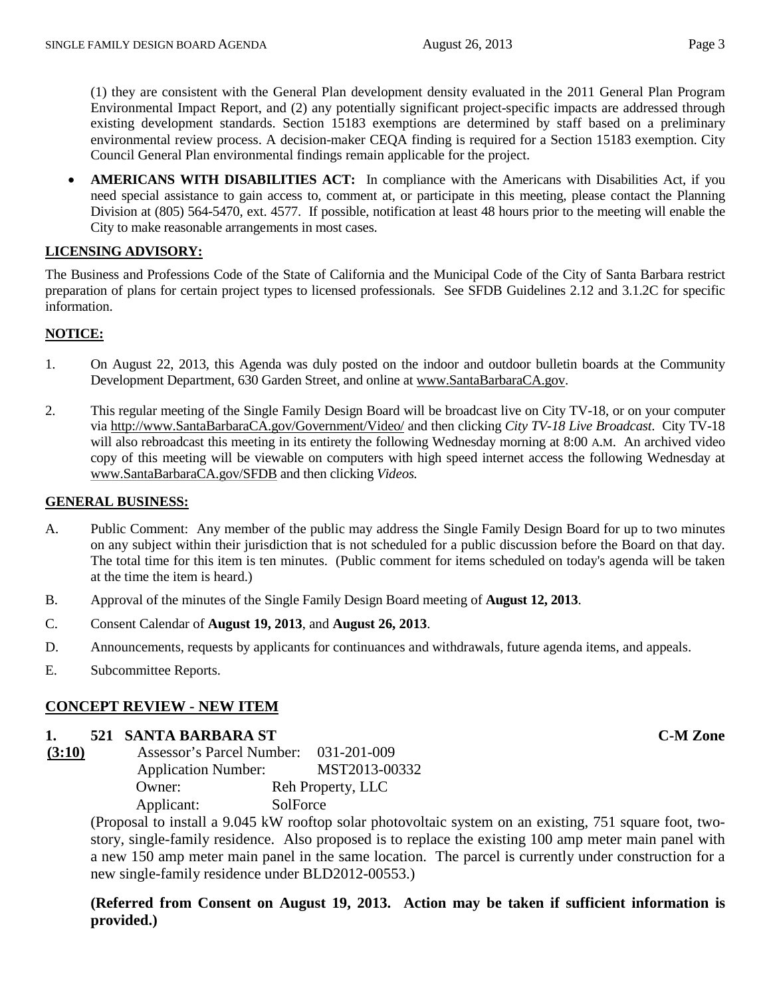(1) they are consistent with the General Plan development density evaluated in the 2011 General Plan Program Environmental Impact Report, and (2) any potentially significant project-specific impacts are addressed through existing development standards. Section 15183 exemptions are determined by staff based on a preliminary environmental review process. A decision-maker CEQA finding is required for a Section 15183 exemption. City Council General Plan environmental findings remain applicable for the project.

• **AMERICANS WITH DISABILITIES ACT:** In compliance with the Americans with Disabilities Act, if you need special assistance to gain access to, comment at, or participate in this meeting, please contact the Planning Division at (805) 564-5470, ext. 4577. If possible, notification at least 48 hours prior to the meeting will enable the City to make reasonable arrangements in most cases.

#### **LICENSING ADVISORY:**

The Business and Professions Code of the State of California and the Municipal Code of the City of Santa Barbara restrict preparation of plans for certain project types to licensed professionals. See SFDB Guidelines 2.12 and 3.1.2C for specific information.

#### **NOTICE:**

- 1. On August 22, 2013, this Agenda was duly posted on the indoor and outdoor bulletin boards at the Community Development Department, 630 Garden Street, and online at [www.SantaBarbaraCA.gov.](http://www.santabarbaraca.gov/)
- 2. This regular meeting of the Single Family Design Board will be broadcast live on City TV-18, or on your computer via [http://www.SantaBarbaraCA.gov/Government/Video/](http://www.santabarbaraca.gov/Government/Video/) and then clicking *City TV-18 Live Broadcast*. City TV-18 will also rebroadcast this meeting in its entirety the following Wednesday morning at 8:00 A.M. An archived video copy of this meeting will be viewable on computers with high speed internet access the following Wednesday at [www.SantaBarbaraCA.gov/SFDB](http://www.santabarbaraca.gov/SFDB) and then clicking *Videos.*

#### **GENERAL BUSINESS:**

- A. Public Comment: Any member of the public may address the Single Family Design Board for up to two minutes on any subject within their jurisdiction that is not scheduled for a public discussion before the Board on that day. The total time for this item is ten minutes. (Public comment for items scheduled on today's agenda will be taken at the time the item is heard.)
- B. Approval of the minutes of the Single Family Design Board meeting of **August 12, 2013**.
- C. Consent Calendar of **August 19, 2013**, and **August 26, 2013**.
- D. Announcements, requests by applicants for continuances and withdrawals, future agenda items, and appeals.
- E. Subcommittee Reports.

### **CONCEPT REVIEW - NEW ITEM**

### **1. 521 SANTA BARBARA ST C-M Zone**

| (3:10) | Assessor's Parcel Number:  | 031-201-009       |
|--------|----------------------------|-------------------|
|        | <b>Application Number:</b> | MST2013-00332     |
|        | Owner:                     | Reh Property, LLC |
|        | Applicant:                 | SolForce          |

(Proposal to install a 9.045 kW rooftop solar photovoltaic system on an existing, 751 square foot, twostory, single-family residence. Also proposed is to replace the existing 100 amp meter main panel with a new 150 amp meter main panel in the same location. The parcel is currently under construction for a new single-family residence under BLD2012-00553.)

**(Referred from Consent on August 19, 2013. Action may be taken if sufficient information is provided.)**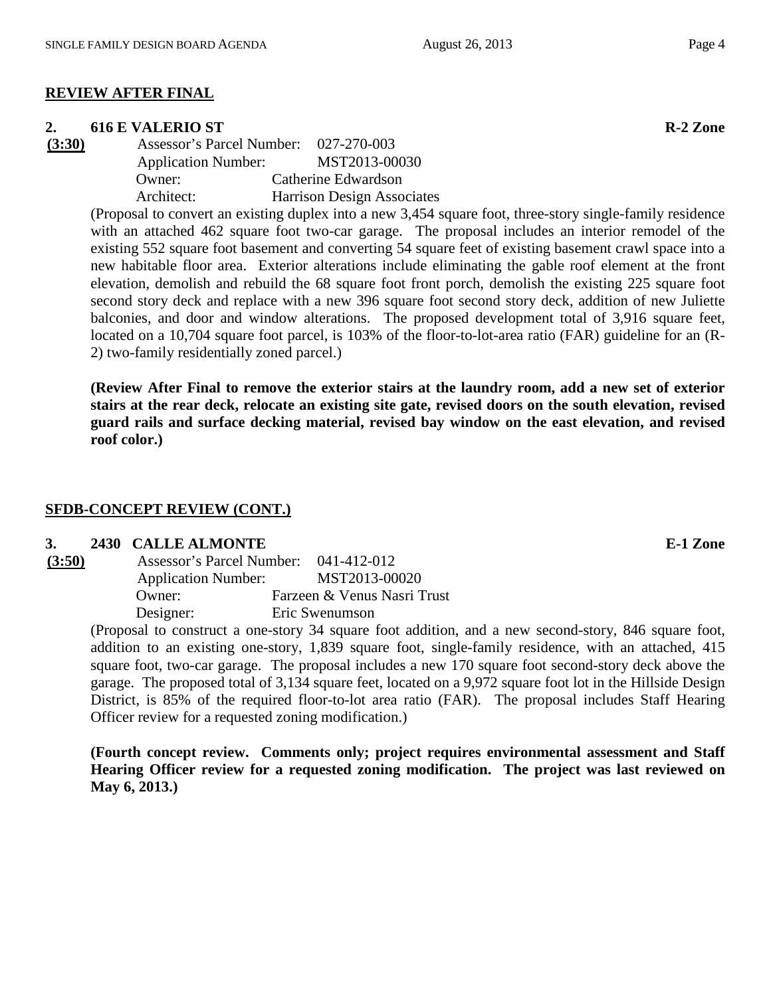#### **REVIEW AFTER FINAL**

**2. 616 E VALERIO ST**<br> **(3:30) Assessor's Parcel Number:** 027-270-003 **(3:30)** Assessor's Parcel Number: 027-270-003 Application Number: MST2013-00030 Owner: Catherine Edwardson Architect: Harrison Design Associates

(Proposal to convert an existing duplex into a new 3,454 square foot, three-story single-family residence with an attached 462 square foot two-car garage. The proposal includes an interior remodel of the existing 552 square foot basement and converting 54 square feet of existing basement crawl space into a new habitable floor area. Exterior alterations include eliminating the gable roof element at the front elevation, demolish and rebuild the 68 square foot front porch, demolish the existing 225 square foot second story deck and replace with a new 396 square foot second story deck, addition of new Juliette balconies, and door and window alterations. The proposed development total of 3,916 square feet, located on a 10,704 square foot parcel, is 103% of the floor-to-lot-area ratio (FAR) guideline for an (R-2) two-family residentially zoned parcel.)

**(Review After Final to remove the exterior stairs at the laundry room, add a new set of exterior stairs at the rear deck, relocate an existing site gate, revised doors on the south elevation, revised guard rails and surface decking material, revised bay window on the east elevation, and revised roof color.)**

# **SFDB-CONCEPT REVIEW (CONT.)**

### **3. 2430 CALLE ALMONTE E-1 Zone**

| (3:50) | <b>Assessor's Parcel Number:</b> | 041-412-012                 |
|--------|----------------------------------|-----------------------------|
|        | <b>Application Number:</b>       | MST2013-00020               |
|        | Owner:                           | Farzeen & Venus Nasri Trust |
|        | Designer:                        | Eric Swenumson              |
|        |                                  |                             |

(Proposal to construct a one-story 34 square foot addition, and a new second-story, 846 square foot, addition to an existing one-story, 1,839 square foot, single-family residence, with an attached, 415 square foot, two-car garage. The proposal includes a new 170 square foot second-story deck above the garage. The proposed total of 3,134 square feet, located on a 9,972 square foot lot in the Hillside Design District, is 85% of the required floor-to-lot area ratio (FAR). The proposal includes Staff Hearing Officer review for a requested zoning modification.)

**(Fourth concept review. Comments only; project requires environmental assessment and Staff Hearing Officer review for a requested zoning modification. The project was last reviewed on May 6, 2013.)**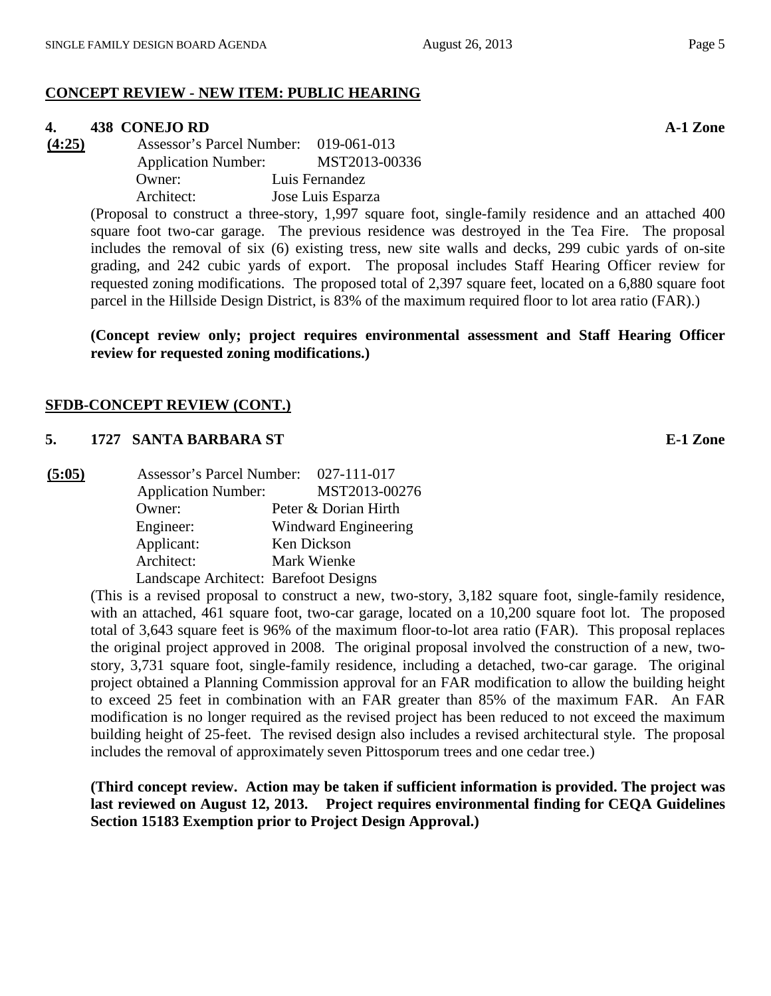### **CONCEPT REVIEW - NEW ITEM: PUBLIC HEARING**

#### **4. 438 CONEJO RD A-1 Zone**

**(4:25)** Assessor's Parcel Number: 019-061-013 Application Number: MST2013-00336 Owner: Luis Fernandez Architect: Jose Luis Esparza

> (Proposal to construct a three-story, 1,997 square foot, single-family residence and an attached 400 square foot two-car garage. The previous residence was destroyed in the Tea Fire. The proposal includes the removal of six (6) existing tress, new site walls and decks, 299 cubic yards of on-site grading, and 242 cubic yards of export. The proposal includes Staff Hearing Officer review for requested zoning modifications. The proposed total of 2,397 square feet, located on a 6,880 square foot parcel in the Hillside Design District, is 83% of the maximum required floor to lot area ratio (FAR).)

> **(Concept review only; project requires environmental assessment and Staff Hearing Officer review for requested zoning modifications.)**

#### **SFDB-CONCEPT REVIEW (CONT.)**

#### **5. 1727 SANTA BARBARA ST E-1 Zone**

| (5:05) | Assessor's Parcel Number: 027-111-017 |                      |
|--------|---------------------------------------|----------------------|
|        | <b>Application Number:</b>            | MST2013-00276        |
|        | Owner:                                | Peter & Dorian Hirth |
|        | Engineer:                             | Windward Engineering |
|        | Applicant:                            | Ken Dickson          |
|        | Architect:                            | Mark Wienke          |
|        | Landscape Architect: Barefoot Designs |                      |

(This is a revised proposal to construct a new, two-story, 3,182 square foot, single-family residence, with an attached, 461 square foot, two-car garage, located on a 10,200 square foot lot. The proposed total of 3,643 square feet is 96% of the maximum floor-to-lot area ratio (FAR). This proposal replaces the original project approved in 2008. The original proposal involved the construction of a new, twostory, 3,731 square foot, single-family residence, including a detached, two-car garage. The original project obtained a Planning Commission approval for an FAR modification to allow the building height to exceed 25 feet in combination with an FAR greater than 85% of the maximum FAR. An FAR modification is no longer required as the revised project has been reduced to not exceed the maximum building height of 25-feet. The revised design also includes a revised architectural style. The proposal includes the removal of approximately seven Pittosporum trees and one cedar tree.)

**(Third concept review. Action may be taken if sufficient information is provided. The project was last reviewed on August 12, 2013. Project requires environmental finding for CEQA Guidelines Section 15183 Exemption prior to Project Design Approval.)**